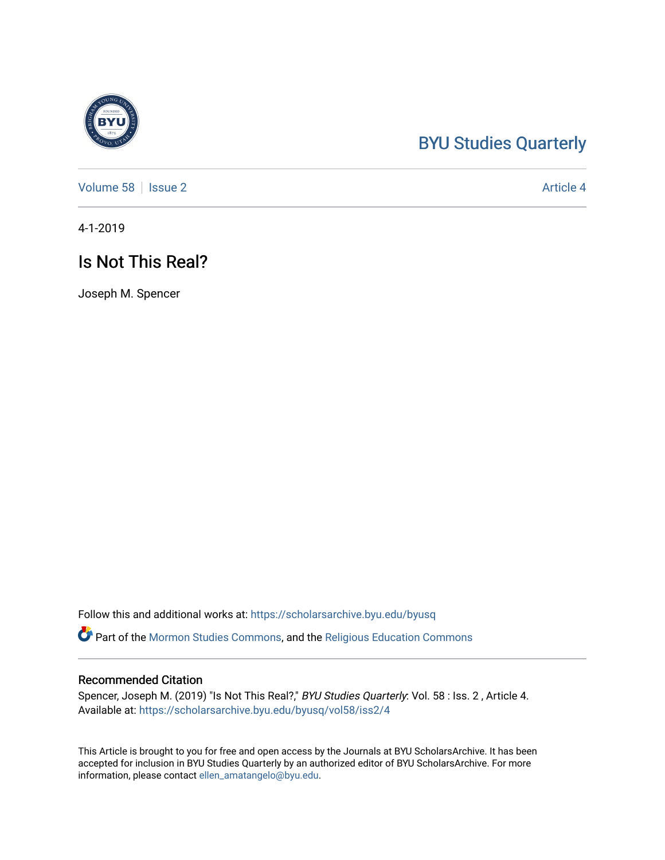## [BYU Studies Quarterly](https://scholarsarchive.byu.edu/byusq)

[Volume 58](https://scholarsarchive.byu.edu/byusq/vol58) | [Issue 2](https://scholarsarchive.byu.edu/byusq/vol58/iss2) Article 4

4-1-2019

## Is Not This Real?

Joseph M. Spencer

Follow this and additional works at: [https://scholarsarchive.byu.edu/byusq](https://scholarsarchive.byu.edu/byusq?utm_source=scholarsarchive.byu.edu%2Fbyusq%2Fvol58%2Fiss2%2F4&utm_medium=PDF&utm_campaign=PDFCoverPages) 

Part of the [Mormon Studies Commons](http://network.bepress.com/hgg/discipline/1360?utm_source=scholarsarchive.byu.edu%2Fbyusq%2Fvol58%2Fiss2%2F4&utm_medium=PDF&utm_campaign=PDFCoverPages), and the [Religious Education Commons](http://network.bepress.com/hgg/discipline/1414?utm_source=scholarsarchive.byu.edu%2Fbyusq%2Fvol58%2Fiss2%2F4&utm_medium=PDF&utm_campaign=PDFCoverPages) 

## Recommended Citation

Spencer, Joseph M. (2019) "Is Not This Real?," BYU Studies Quarterly: Vol. 58 : Iss. 2 , Article 4. Available at: [https://scholarsarchive.byu.edu/byusq/vol58/iss2/4](https://scholarsarchive.byu.edu/byusq/vol58/iss2/4?utm_source=scholarsarchive.byu.edu%2Fbyusq%2Fvol58%2Fiss2%2F4&utm_medium=PDF&utm_campaign=PDFCoverPages)

This Article is brought to you for free and open access by the Journals at BYU ScholarsArchive. It has been accepted for inclusion in BYU Studies Quarterly by an authorized editor of BYU ScholarsArchive. For more information, please contact [ellen\\_amatangelo@byu.edu.](mailto:ellen_amatangelo@byu.edu)

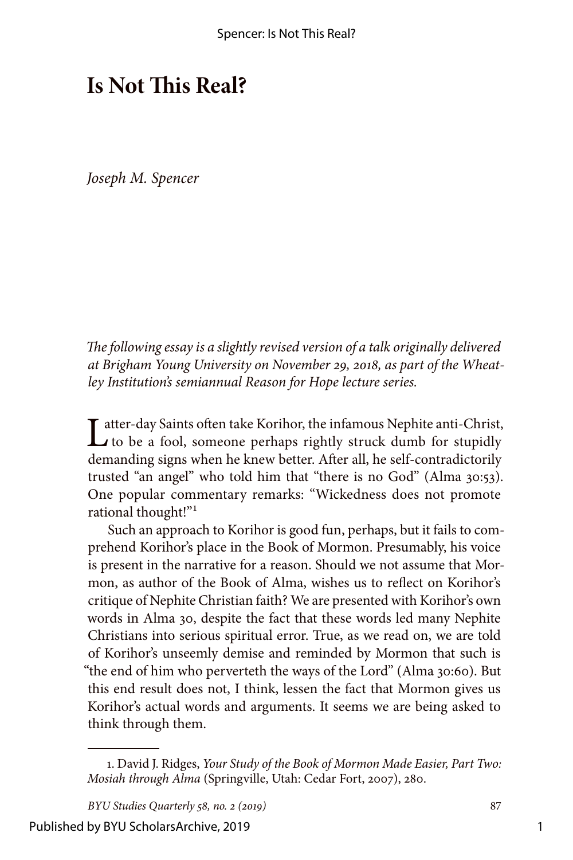## **Is Not This Real?**

*Joseph M. Spencer*

*The following essay is a slightly revised version of a talk originally delivered at Brigham Young University on November 29, 2018, as part of the Wheatley Institution's semiannual Reason for Hope lecture series.*

Latter-day Saints often take Korihor, the infamous Nephite anti-Christ,<br>to be a fool, someone perhaps rightly struck dumb for stupidly demanding signs when he knew better. After all, he self-contradictorily trusted "an angel" who told him that "there is no God" (Alma 30:53). One popular commentary remarks: "Wickedness does not promote rational thought!"<sup>1</sup>

Such an approach to Korihor is good fun, perhaps, but it fails to comprehend Korihor's place in the Book of Mormon. Presumably, his voice is present in the narrative for a reason. Should we not assume that Mormon, as author of the Book of Alma, wishes us to reflect on Korihor's critique of Nephite Christian faith? We are presented with Korihor's own words in Alma 30, despite the fact that these words led many Nephite Christians into serious spiritual error. True, as we read on, we are told of Korihor's unseemly demise and reminded by Mormon that such is "the end of him who perverteth the ways of the Lord" (Alma 30:60). But this end result does not, I think, lessen the fact that Mormon gives us Korihor's actual words and arguments. It seems we are being asked to think through them.

<sup>1.</sup> David J. Ridges, *Your Study of the Book of Mormon Made Easier, Part Two: Mosiah through Alma* (Springville, Utah: Cedar Fort, 2007), 280.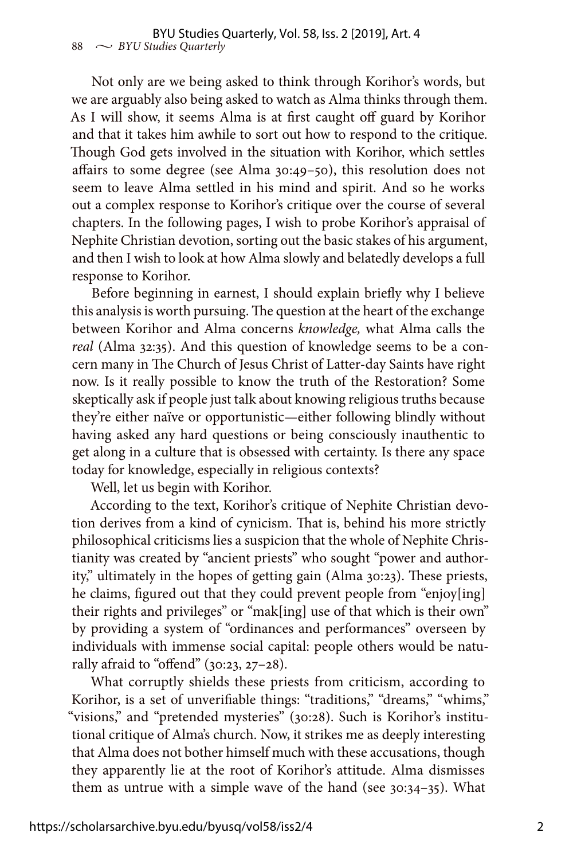Not only are we being asked to think through Korihor's words, but we are arguably also being asked to watch as Alma thinks through them. As I will show, it seems Alma is at first caught off guard by Korihor and that it takes him awhile to sort out how to respond to the critique. Though God gets involved in the situation with Korihor, which settles affairs to some degree (see Alma 30:49–50), this resolution does not seem to leave Alma settled in his mind and spirit. And so he works out a complex response to Korihor's critique over the course of several chapters. In the following pages, I wish to probe Korihor's appraisal of Nephite Christian devotion, sorting out the basic stakes of his argument, and then I wish to look at how Alma slowly and belatedly develops a full response to Korihor.

Before beginning in earnest, I should explain briefly why I believe this analysis is worth pursuing. The question at the heart of the exchange between Korihor and Alma concerns *knowledge,* what Alma calls the *real* (Alma 32:35). And this question of knowledge seems to be a concern many in The Church of Jesus Christ of Latter-day Saints have right now. Is it really possible to know the truth of the Restoration? Some skeptically ask if people just talk about knowing religious truths because they're either naïve or opportunistic—either following blindly without having asked any hard questions or being consciously inauthentic to get along in a culture that is obsessed with certainty. Is there any space today for knowledge, especially in religious contexts?

Well, let us begin with Korihor.

According to the text, Korihor's critique of Nephite Christian devotion derives from a kind of cynicism. That is, behind his more strictly philosophical criticisms lies a suspicion that the whole of Nephite Christianity was created by "ancient priests" who sought "power and authority," ultimately in the hopes of getting gain (Alma 30:23). These priests, he claims, figured out that they could prevent people from "enjoy[ing] their rights and privileges" or "mak[ing] use of that which is their own" by providing a system of "ordinances and performances" overseen by individuals with immense social capital: people others would be naturally afraid to "offend" (30:23, 27–28).

What corruptly shields these priests from criticism, according to Korihor, is a set of unverifiable things: "traditions," "dreams," "whims," "visions," and "pretended mysteries" (30:28). Such is Korihor's institutional critique of Alma's church. Now, it strikes me as deeply interesting that Alma does not bother himself much with these accusations, though they apparently lie at the root of Korihor's attitude. Alma dismisses them as untrue with a simple wave of the hand (see 30:34–35). What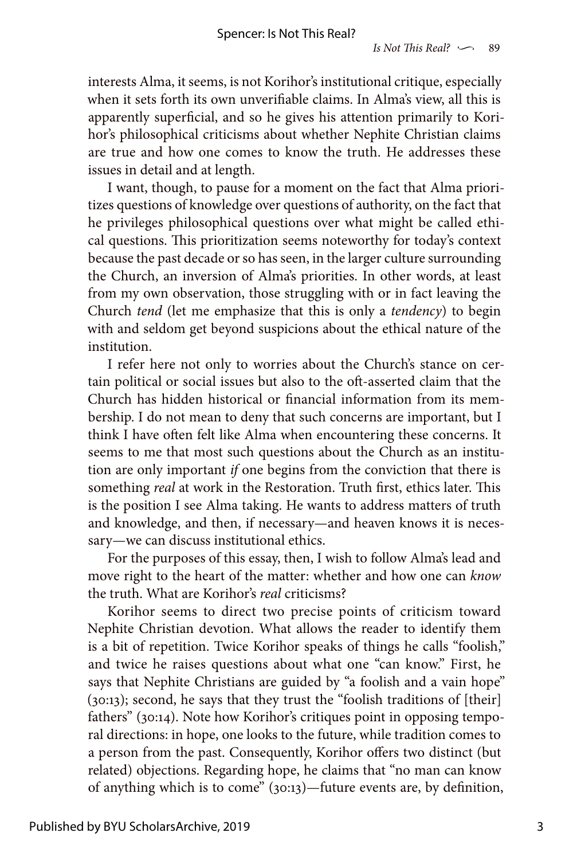interests Alma, it seems, is not Korihor's institutional critique, especially when it sets forth its own unverifiable claims. In Alma's view, all this is apparently superficial, and so he gives his attention primarily to Korihor's philosophical criticisms about whether Nephite Christian claims are true and how one comes to know the truth. He addresses these issues in detail and at length.

I want, though, to pause for a moment on the fact that Alma prioritizes questions of knowledge over questions of authority, on the fact that he privileges philosophical questions over what might be called ethical questions. This prioritization seems noteworthy for today's context because the past decade or so has seen, in the larger culture surrounding the Church, an inversion of Alma's priorities. In other words, at least from my own observation, those struggling with or in fact leaving the Church *tend* (let me emphasize that this is only a *tendency*) to begin with and seldom get beyond suspicions about the ethical nature of the institution.

I refer here not only to worries about the Church's stance on certain political or social issues but also to the oft-asserted claim that the Church has hidden historical or financial information from its membership. I do not mean to deny that such concerns are important, but I think I have often felt like Alma when encountering these concerns. It seems to me that most such questions about the Church as an institution are only important *if* one begins from the conviction that there is something *real* at work in the Restoration. Truth first, ethics later. This is the position I see Alma taking. He wants to address matters of truth and knowledge, and then, if necessary—and heaven knows it is necessary—we can discuss institutional ethics.

For the purposes of this essay, then, I wish to follow Alma's lead and move right to the heart of the matter: whether and how one can *know* the truth. What are Korihor's *real* criticisms?

Korihor seems to direct two precise points of criticism toward Nephite Christian devotion. What allows the reader to identify them is a bit of repetition. Twice Korihor speaks of things he calls "foolish," and twice he raises questions about what one "can know." First, he says that Nephite Christians are guided by "a foolish and a vain hope" (30:13); second, he says that they trust the "foolish traditions of [their] fathers" (30:14). Note how Korihor's critiques point in opposing temporal directions: in hope, one looks to the future, while tradition comes to a person from the past. Consequently, Korihor offers two distinct (but related) objections. Regarding hope, he claims that "no man can know of anything which is to come" (30:13)—future events are, by definition,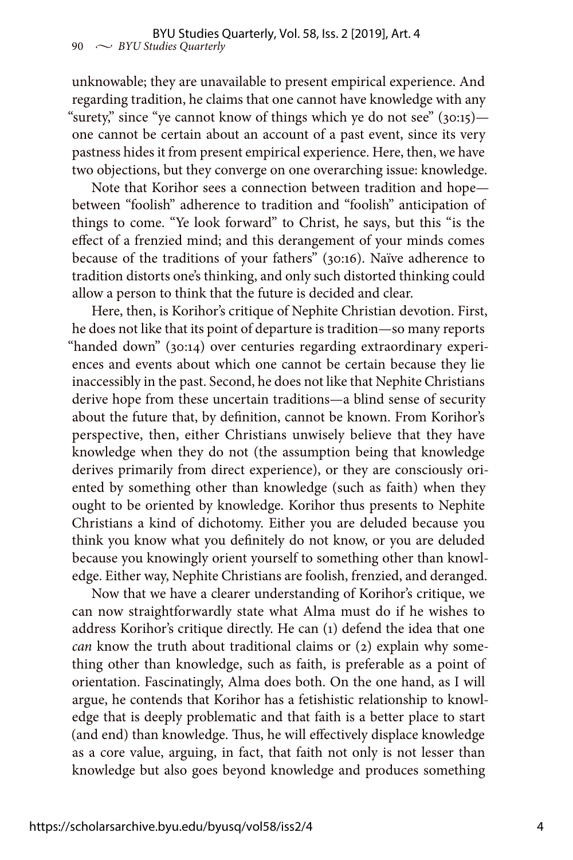unknowable; they are unavailable to present empirical experience. And regarding tradition, he claims that one cannot have knowledge with any "surety," since "ye cannot know of things which ye do not see" (30:15) one cannot be certain about an account of a past event, since its very pastness hides it from present empirical experience. Here, then, we have two objections, but they converge on one overarching issue: knowledge.

Note that Korihor sees a connection between tradition and hope between "foolish" adherence to tradition and "foolish" anticipation of things to come. "Ye look forward" to Christ, he says, but this "is the effect of a frenzied mind; and this derangement of your minds comes because of the traditions of your fathers" (30:16). Naïve adherence to tradition distorts one's thinking, and only such distorted thinking could allow a person to think that the future is decided and clear.

Here, then, is Korihor's critique of Nephite Christian devotion. First, he does not like that its point of departure is tradition—so many reports "handed down" (30:14) over centuries regarding extraordinary experiences and events about which one cannot be certain because they lie inaccessibly in the past. Second, he does not like that Nephite Christians derive hope from these uncertain traditions—a blind sense of security about the future that, by definition, cannot be known. From Korihor's perspective, then, either Christians unwisely believe that they have knowledge when they do not (the assumption being that knowledge derives primarily from direct experience), or they are consciously oriented by something other than knowledge (such as faith) when they ought to be oriented by knowledge. Korihor thus presents to Nephite Christians a kind of dichotomy. Either you are deluded because you think you know what you definitely do not know, or you are deluded because you knowingly orient yourself to something other than knowledge. Either way, Nephite Christians are foolish, frenzied, and deranged.

Now that we have a clearer understanding of Korihor's critique, we can now straightforwardly state what Alma must do if he wishes to address Korihor's critique directly. He can (1) defend the idea that one *can* know the truth about traditional claims or (2) explain why something other than knowledge, such as faith, is preferable as a point of orientation. Fascinatingly, Alma does both. On the one hand, as I will argue, he contends that Korihor has a fetishistic relationship to knowledge that is deeply problematic and that faith is a better place to start (and end) than knowledge. Thus, he will effectively displace knowledge as a core value, arguing, in fact, that faith not only is not lesser than knowledge but also goes beyond knowledge and produces something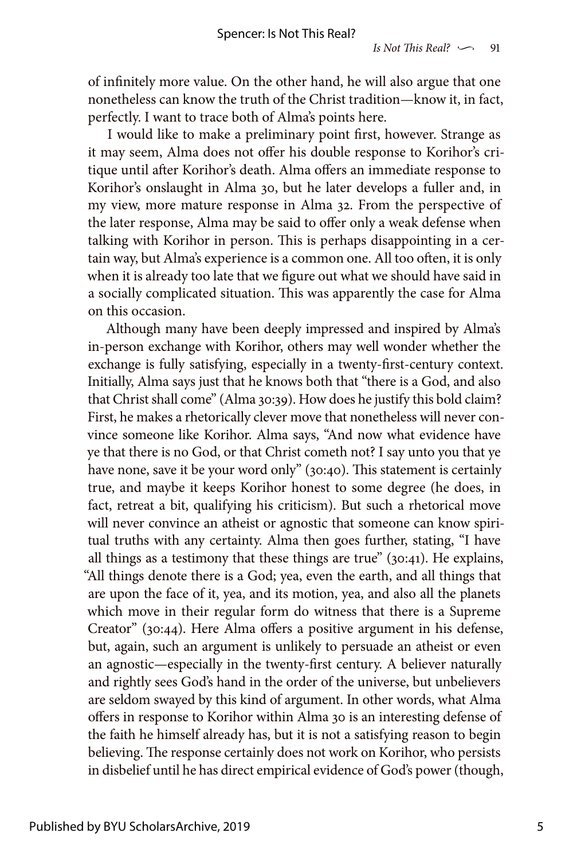of infinitely more value. On the other hand, he will also argue that one nonetheless can know the truth of the Christ tradition—know it, in fact, perfectly. I want to trace both of Alma's points here.

I would like to make a preliminary point first, however. Strange as it may seem, Alma does not offer his double response to Korihor's critique until after Korihor's death. Alma offers an immediate response to Korihor's onslaught in Alma 30, but he later develops a fuller and, in my view, more mature response in Alma 32. From the perspective of the later response, Alma may be said to offer only a weak defense when talking with Korihor in person. This is perhaps disappointing in a certain way, but Alma's experience is a common one. All too often, it is only when it is already too late that we figure out what we should have said in a socially complicated situation. This was apparently the case for Alma on this occasion.

Although many have been deeply impressed and inspired by Alma's in-person exchange with Korihor, others may well wonder whether the exchange is fully satisfying, especially in a twenty-first-century context. Initially, Alma says just that he knows both that "there is a God, and also that Christ shall come" (Alma 30:39). How does he justify this bold claim? First, he makes a rhetorically clever move that nonetheless will never convince someone like Korihor. Alma says, "And now what evidence have ye that there is no God, or that Christ cometh not? I say unto you that ye have none, save it be your word only" (30:40). This statement is certainly true, and maybe it keeps Korihor honest to some degree (he does, in fact, retreat a bit, qualifying his criticism). But such a rhetorical move will never convince an atheist or agnostic that someone can know spiritual truths with any certainty. Alma then goes further, stating, "I have all things as a testimony that these things are true" (30:41). He explains, "All things denote there is a God; yea, even the earth, and all things that are upon the face of it, yea, and its motion, yea, and also all the planets which move in their regular form do witness that there is a Supreme Creator" (30:44). Here Alma offers a positive argument in his defense, but, again, such an argument is unlikely to persuade an atheist or even an agnostic—especially in the twenty-first century. A believer naturally and rightly sees God's hand in the order of the universe, but unbelievers are seldom swayed by this kind of argument. In other words, what Alma offers in response to Korihor within Alma 30 is an interesting defense of the faith he himself already has, but it is not a satisfying reason to begin believing. The response certainly does not work on Korihor, who persists in disbelief until he has direct empirical evidence of God's power (though,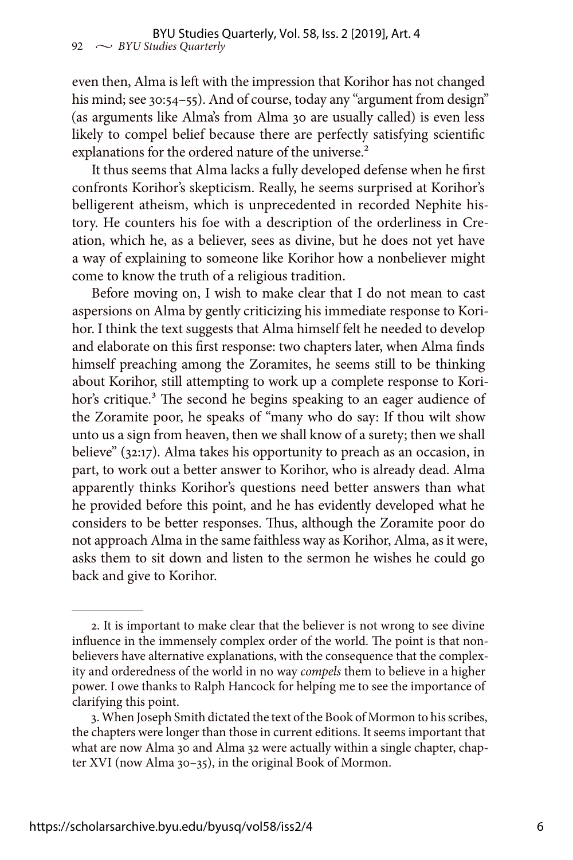even then, Alma is left with the impression that Korihor has not changed his mind; see 30:54–55). And of course, today any "argument from design" (as arguments like Alma's from Alma 30 are usually called) is even less likely to compel belief because there are perfectly satisfying scientific explanations for the ordered nature of the universe.<sup>2</sup>

It thus seems that Alma lacks a fully developed defense when he first confronts Korihor's skepticism. Really, he seems surprised at Korihor's belligerent atheism, which is unprecedented in recorded Nephite history. He counters his foe with a description of the orderliness in Creation, which he, as a believer, sees as divine, but he does not yet have a way of explaining to someone like Korihor how a nonbeliever might come to know the truth of a religious tradition.

Before moving on, I wish to make clear that I do not mean to cast aspersions on Alma by gently criticizing his immediate response to Korihor. I think the text suggests that Alma himself felt he needed to develop and elaborate on this first response: two chapters later, when Alma finds himself preaching among the Zoramites, he seems still to be thinking about Korihor, still attempting to work up a complete response to Korihor's critique.<sup>3</sup> The second he begins speaking to an eager audience of the Zoramite poor, he speaks of "many who do say: If thou wilt show unto us a sign from heaven, then we shall know of a surety; then we shall believe" (32:17). Alma takes his opportunity to preach as an occasion, in part, to work out a better answer to Korihor, who is already dead. Alma apparently thinks Korihor's questions need better answers than what he provided before this point, and he has evidently developed what he considers to be better responses. Thus, although the Zoramite poor do not approach Alma in the same faithless way as Korihor, Alma, as it were, asks them to sit down and listen to the sermon he wishes he could go back and give to Korihor.

<sup>2.</sup> It is important to make clear that the believer is not wrong to see divine influence in the immensely complex order of the world. The point is that nonbelievers have alternative explanations, with the consequence that the complexity and orderedness of the world in no way *compels* them to believe in a higher power. I owe thanks to Ralph Hancock for helping me to see the importance of clarifying this point.

<sup>3.</sup> When Joseph Smith dictated the text of the Book of Mormon to his scribes, the chapters were longer than those in current editions. It seems important that what are now Alma 30 and Alma 32 were actually within a single chapter, chapter XVI (now Alma 30–35), in the original Book of Mormon.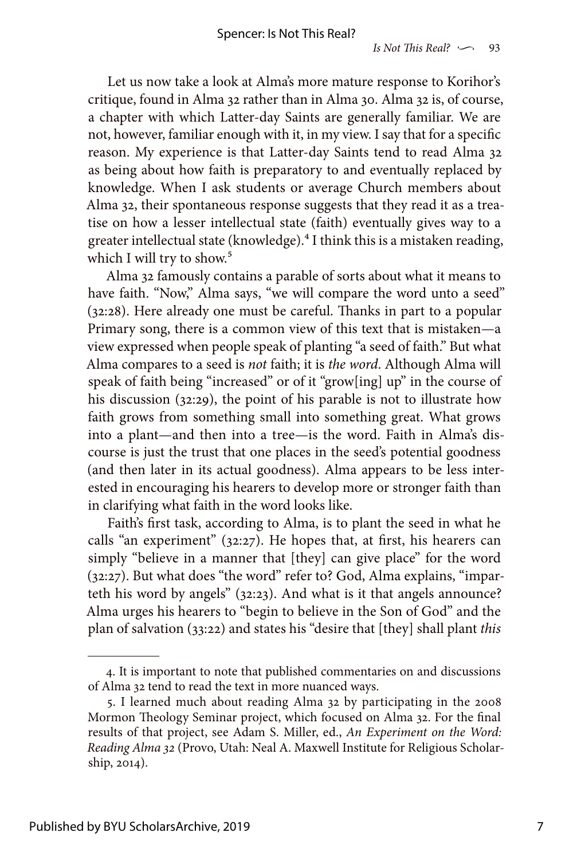Let us now take a look at Alma's more mature response to Korihor's critique, found in Alma 32 rather than in Alma 30. Alma 32 is, of course, a chapter with which Latter-day Saints are generally familiar. We are not, however, familiar enough with it, in my view. I say that for a specific reason. My experience is that Latter-day Saints tend to read Alma 32 as being about how faith is preparatory to and eventually replaced by knowledge. When I ask students or average Church members about Alma 32, their spontaneous response suggests that they read it as a treatise on how a lesser intellectual state (faith) eventually gives way to a greater intellectual state (knowledge).4 I think this is a mistaken reading, which I will try to show.<sup>5</sup>

Alma 32 famously contains a parable of sorts about what it means to have faith. "Now," Alma says, "we will compare the word unto a seed" (32:28). Here already one must be careful. Thanks in part to a popular Primary song, there is a common view of this text that is mistaken—a view expressed when people speak of planting "a seed of faith." But what Alma compares to a seed is *not* faith; it is *the word*. Although Alma will speak of faith being "increased" or of it "grow[ing] up" in the course of his discussion (32:29), the point of his parable is not to illustrate how faith grows from something small into something great. What grows into a plant—and then into a tree—is the word. Faith in Alma's discourse is just the trust that one places in the seed's potential goodness (and then later in its actual goodness). Alma appears to be less interested in encouraging his hearers to develop more or stronger faith than in clarifying what faith in the word looks like.

Faith's first task, according to Alma, is to plant the seed in what he calls "an experiment" (32:27). He hopes that, at first, his hearers can simply "believe in a manner that [they] can give place" for the word (32:27). But what does "the word" refer to? God, Alma explains, "imparteth his word by angels" (32:23). And what is it that angels announce? Alma urges his hearers to "begin to believe in the Son of God" and the plan of salvation (33:22) and states his "desire that [they] shall plant *this*

<sup>4.</sup> It is important to note that published commentaries on and discussions of Alma 32 tend to read the text in more nuanced ways.

<sup>5.</sup> I learned much about reading Alma 32 by participating in the 2008 Mormon Theology Seminar project, which focused on Alma 32. For the final results of that project, see Adam S. Miller, ed., *An Experiment on the Word: Reading Alma 32* (Provo, Utah: Neal A. Maxwell Institute for Religious Scholarship, 2014).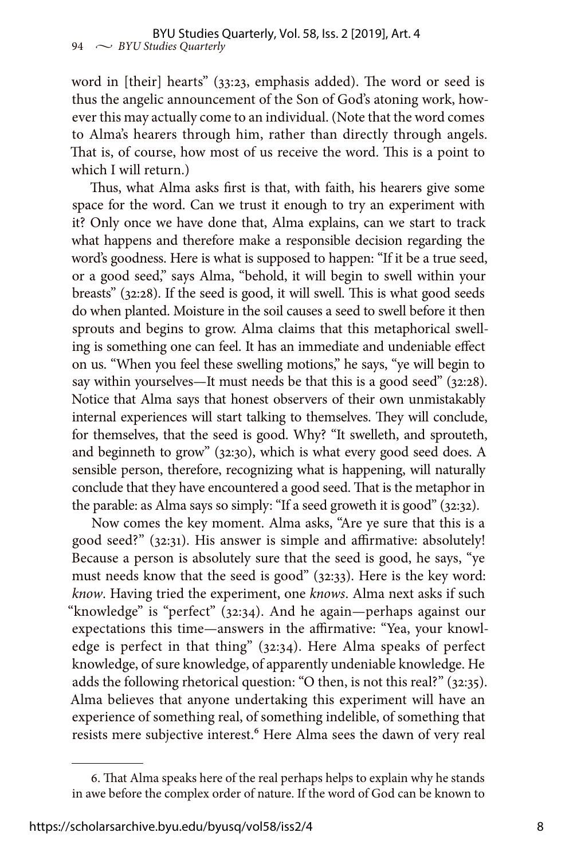word in [their] hearts" (33:23, emphasis added). The word or seed is thus the angelic announcement of the Son of God's atoning work, however this may actually come to an individual. (Note that the word comes to Alma's hearers through him, rather than directly through angels. That is, of course, how most of us receive the word. This is a point to which I will return.)

Thus, what Alma asks first is that, with faith, his hearers give some space for the word. Can we trust it enough to try an experiment with it? Only once we have done that, Alma explains, can we start to track what happens and therefore make a responsible decision regarding the word's goodness. Here is what is supposed to happen: "If it be a true seed, or a good seed," says Alma, "behold, it will begin to swell within your breasts" (32:28). If the seed is good, it will swell. This is what good seeds do when planted. Moisture in the soil causes a seed to swell before it then sprouts and begins to grow. Alma claims that this metaphorical swelling is something one can feel. It has an immediate and undeniable effect on us. "When you feel these swelling motions," he says, "ye will begin to say within yourselves—It must needs be that this is a good seed" (32:28). Notice that Alma says that honest observers of their own unmistakably internal experiences will start talking to themselves. They will conclude, for themselves, that the seed is good. Why? "It swelleth, and sprouteth, and beginneth to grow" (32:30), which is what every good seed does. A sensible person, therefore, recognizing what is happening, will naturally conclude that they have encountered a good seed. That is the metaphor in the parable: as Alma says so simply: "If a seed groweth it is good" (32:32).

Now comes the key moment. Alma asks, "Are ye sure that this is a good seed?" (32:31). His answer is simple and affirmative: absolutely! Because a person is absolutely sure that the seed is good, he says, "ye must needs know that the seed is good" (32:33). Here is the key word: *know*. Having tried the experiment, one *knows*. Alma next asks if such "knowledge" is "perfect" (32:34). And he again—perhaps against our expectations this time—answers in the affirmative: "Yea, your knowledge is perfect in that thing" (32:34). Here Alma speaks of perfect knowledge, of sure knowledge, of apparently undeniable knowledge. He adds the following rhetorical question: "O then, is not this real?" (32:35). Alma believes that anyone undertaking this experiment will have an experience of something real, of something indelible, of something that resists mere subjective interest.<sup>6</sup> Here Alma sees the dawn of very real

<sup>6.</sup> That Alma speaks here of the real perhaps helps to explain why he stands in awe before the complex order of nature. If the word of God can be known to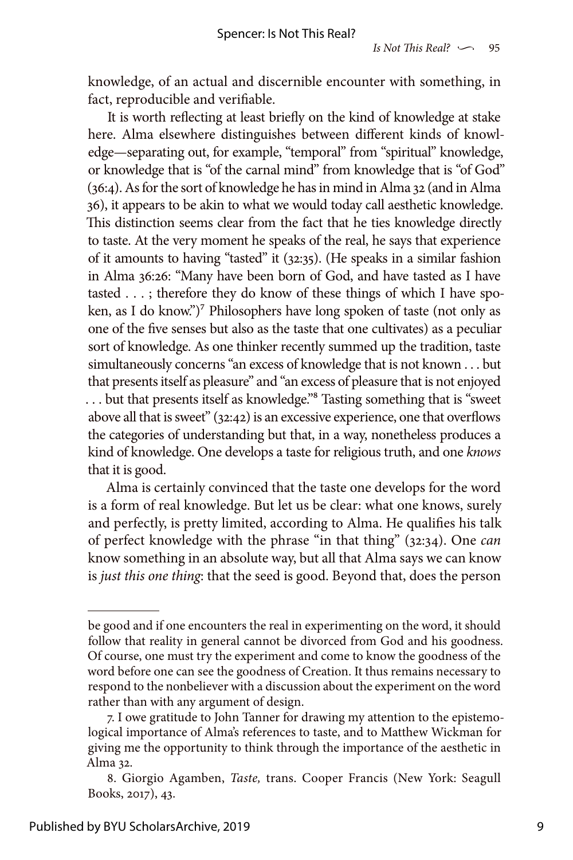knowledge, of an actual and discernible encounter with something, in fact, reproducible and verifiable.

It is worth reflecting at least briefly on the kind of knowledge at stake here. Alma elsewhere distinguishes between different kinds of knowledge—separating out, for example, "temporal" from "spiritual" knowledge, or knowledge that is "of the carnal mind" from knowledge that is "of God" (36:4). As for the sort of knowledge he has in mind in Alma 32 (and in Alma 36), it appears to be akin to what we would today call aesthetic knowledge. This distinction seems clear from the fact that he ties knowledge directly to taste. At the very moment he speaks of the real, he says that experience of it amounts to having "tasted" it (32:35). (He speaks in a similar fashion in Alma 36:26: "Many have been born of God, and have tasted as I have tasted . . . ; therefore they do know of these things of which I have spoken, as I do know.")<sup>7</sup> Philosophers have long spoken of taste (not only as one of the five senses but also as the taste that one cultivates) as a peculiar sort of knowledge. As one thinker recently summed up the tradition, taste simultaneously concerns "an excess of knowledge that is not known . . . but that presents itself as pleasure" and "an excess of pleasure that is not enjoyed ... but that presents itself as knowledge."<sup>8</sup> Tasting something that is "sweet" above all that is sweet" (32:42) is an excessive experience, one that overflows the categories of understanding but that, in a way, nonetheless produces a kind of knowledge. One develops a taste for religious truth, and one *knows* that it is good.

Alma is certainly convinced that the taste one develops for the word is a form of real knowledge. But let us be clear: what one knows, surely and perfectly, is pretty limited, according to Alma. He qualifies his talk of perfect knowledge with the phrase "in that thing" (32:34). One *can* know something in an absolute way, but all that Alma says we can know is *just this one thing*: that the seed is good. Beyond that, does the person

be good and if one encounters the real in experimenting on the word, it should follow that reality in general cannot be divorced from God and his goodness. Of course, one must try the experiment and come to know the goodness of the word before one can see the goodness of Creation. It thus remains necessary to respond to the nonbeliever with a discussion about the experiment on the word rather than with any argument of design.

<sup>7.</sup> I owe gratitude to John Tanner for drawing my attention to the epistemological importance of Alma's references to taste, and to Matthew Wickman for giving me the opportunity to think through the importance of the aesthetic in Alma 32.

<sup>8.</sup> Giorgio Agamben, *Taste,* trans. Cooper Francis (New York: Seagull Books, 2017), 43.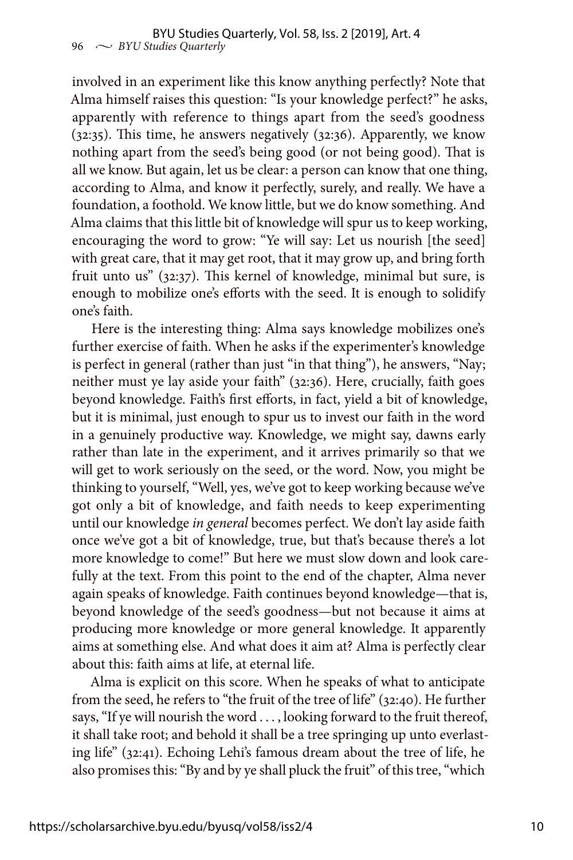involved in an experiment like this know anything perfectly? Note that Alma himself raises this question: "Is your knowledge perfect?" he asks, apparently with reference to things apart from the seed's goodness (32:35). This time, he answers negatively (32:36). Apparently, we know nothing apart from the seed's being good (or not being good). That is all we know. But again, let us be clear: a person can know that one thing, according to Alma, and know it perfectly, surely, and really. We have a foundation, a foothold. We know little, but we do know something. And Alma claims that this little bit of knowledge will spur us to keep working, encouraging the word to grow: "Ye will say: Let us nourish [the seed] with great care, that it may get root, that it may grow up, and bring forth fruit unto us" (32:37). This kernel of knowledge, minimal but sure, is enough to mobilize one's efforts with the seed. It is enough to solidify one's faith.

Here is the interesting thing: Alma says knowledge mobilizes one's further exercise of faith. When he asks if the experimenter's knowledge is perfect in general (rather than just "in that thing"), he answers, "Nay; neither must ye lay aside your faith" (32:36). Here, crucially, faith goes beyond knowledge. Faith's first efforts, in fact, yield a bit of knowledge, but it is minimal, just enough to spur us to invest our faith in the word in a genuinely productive way. Knowledge, we might say, dawns early rather than late in the experiment, and it arrives primarily so that we will get to work seriously on the seed, or the word. Now, you might be thinking to yourself, "Well, yes, we've got to keep working because we've got only a bit of knowledge, and faith needs to keep experimenting until our knowledge *in general* becomes perfect. We don't lay aside faith once we've got a bit of knowledge, true, but that's because there's a lot more knowledge to come!" But here we must slow down and look carefully at the text. From this point to the end of the chapter, Alma never again speaks of knowledge. Faith continues beyond knowledge—that is, beyond knowledge of the seed's goodness—but not because it aims at producing more knowledge or more general knowledge. It apparently aims at something else. And what does it aim at? Alma is perfectly clear about this: faith aims at life, at eternal life.

Alma is explicit on this score. When he speaks of what to anticipate from the seed, he refers to "the fruit of the tree of life" (32:40). He further says, "If ye will nourish the word . . . , looking forward to the fruit thereof, it shall take root; and behold it shall be a tree springing up unto everlasting life" (32:41). Echoing Lehi's famous dream about the tree of life, he also promises this: "By and by ye shall pluck the fruit" of this tree, "which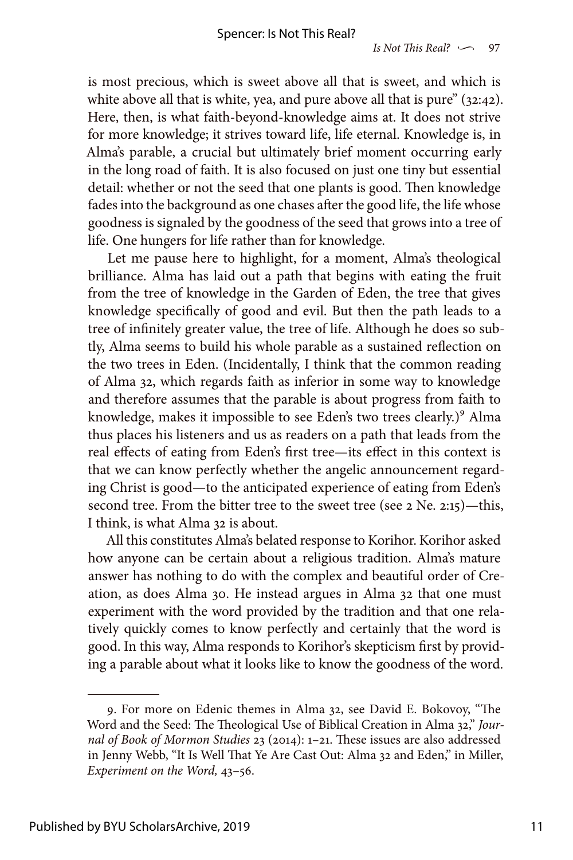is most precious, which is sweet above all that is sweet, and which is white above all that is white, yea, and pure above all that is pure" (32:42). Here, then, is what faith-beyond-knowledge aims at. It does not strive for more knowledge; it strives toward life, life eternal. Knowledge is, in Alma's parable, a crucial but ultimately brief moment occurring early in the long road of faith. It is also focused on just one tiny but essential detail: whether or not the seed that one plants is good. Then knowledge fades into the background as one chases after the good life, the life whose goodness is signaled by the goodness of the seed that grows into a tree of life. One hungers for life rather than for knowledge.

Let me pause here to highlight, for a moment, Alma's theological brilliance. Alma has laid out a path that begins with eating the fruit from the tree of knowledge in the Garden of Eden, the tree that gives knowledge specifically of good and evil. But then the path leads to a tree of infinitely greater value, the tree of life. Although he does so subtly, Alma seems to build his whole parable as a sustained reflection on the two trees in Eden. (Incidentally, I think that the common reading of Alma 32, which regards faith as inferior in some way to knowledge and therefore assumes that the parable is about progress from faith to knowledge, makes it impossible to see Eden's two trees clearly.)<sup>9</sup> Alma thus places his listeners and us as readers on a path that leads from the real effects of eating from Eden's first tree—its effect in this context is that we can know perfectly whether the angelic announcement regarding Christ is good—to the anticipated experience of eating from Eden's second tree. From the bitter tree to the sweet tree (see 2 Ne. 2:15)—this, I think, is what Alma 32 is about.

All this constitutes Alma's belated response to Korihor. Korihor asked how anyone can be certain about a religious tradition. Alma's mature answer has nothing to do with the complex and beautiful order of Creation, as does Alma 30. He instead argues in Alma 32 that one must experiment with the word provided by the tradition and that one relatively quickly comes to know perfectly and certainly that the word is good. In this way, Alma responds to Korihor's skepticism first by providing a parable about what it looks like to know the goodness of the word.

<sup>9.</sup> For more on Edenic themes in Alma 32, see David E. Bokovoy, "The Word and the Seed: The Theological Use of Biblical Creation in Alma 32," *Journal of Book of Mormon Studies* 23 (2014): 1–21. These issues are also addressed in Jenny Webb, "It Is Well That Ye Are Cast Out: Alma 32 and Eden," in Miller, *Experiment on the Word,* 43–56.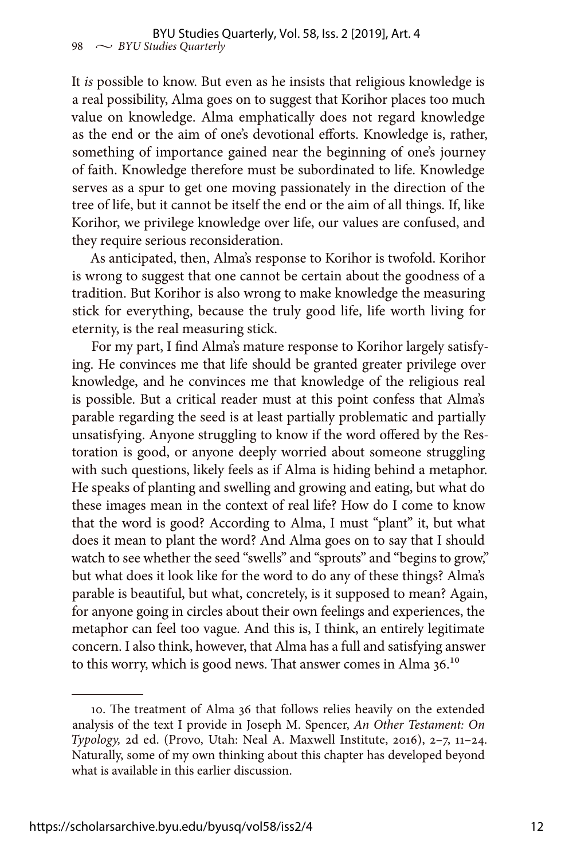It *is* possible to know. But even as he insists that religious knowledge is a real possibility, Alma goes on to suggest that Korihor places too much value on knowledge. Alma emphatically does not regard knowledge as the end or the aim of one's devotional efforts. Knowledge is, rather, something of importance gained near the beginning of one's journey of faith. Knowledge therefore must be subordinated to life. Knowledge serves as a spur to get one moving passionately in the direction of the tree of life, but it cannot be itself the end or the aim of all things. If, like Korihor, we privilege knowledge over life, our values are confused, and they require serious reconsideration.

As anticipated, then, Alma's response to Korihor is twofold. Korihor is wrong to suggest that one cannot be certain about the goodness of a tradition. But Korihor is also wrong to make knowledge the measuring stick for everything, because the truly good life, life worth living for eternity, is the real measuring stick.

For my part, I find Alma's mature response to Korihor largely satisfying. He convinces me that life should be granted greater privilege over knowledge, and he convinces me that knowledge of the religious real is possible. But a critical reader must at this point confess that Alma's parable regarding the seed is at least partially problematic and partially unsatisfying. Anyone struggling to know if the word offered by the Restoration is good, or anyone deeply worried about someone struggling with such questions, likely feels as if Alma is hiding behind a metaphor. He speaks of planting and swelling and growing and eating, but what do these images mean in the context of real life? How do I come to know that the word is good? According to Alma, I must "plant" it, but what does it mean to plant the word? And Alma goes on to say that I should watch to see whether the seed "swells" and "sprouts" and "begins to grow," but what does it look like for the word to do any of these things? Alma's parable is beautiful, but what, concretely, is it supposed to mean? Again, for anyone going in circles about their own feelings and experiences, the metaphor can feel too vague. And this is, I think, an entirely legitimate concern. I also think, however, that Alma has a full and satisfying answer to this worry, which is good news. That answer comes in Alma 36.10

<sup>10.</sup> The treatment of Alma 36 that follows relies heavily on the extended analysis of the text I provide in Joseph M. Spencer, *An Other Testament: On Typology,* 2d ed. (Provo, Utah: Neal A. Maxwell Institute, 2016), 2–7, 11–24. Naturally, some of my own thinking about this chapter has developed beyond what is available in this earlier discussion.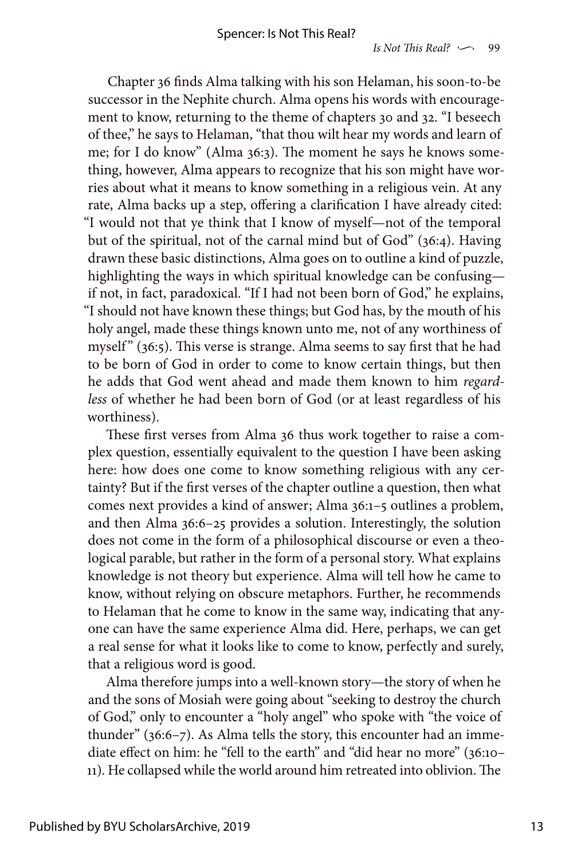Chapter 36 finds Alma talking with his son Helaman, his soon-to-be successor in the Nephite church. Alma opens his words with encouragement to know, returning to the theme of chapters 30 and 32. "I beseech of thee," he says to Helaman, "that thou wilt hear my words and learn of me; for I do know" (Alma 36:3). The moment he says he knows something, however, Alma appears to recognize that his son might have worries about what it means to know something in a religious vein. At any rate, Alma backs up a step, offering a clarification I have already cited: "I would not that ye think that I know of myself—not of the temporal but of the spiritual, not of the carnal mind but of God" (36:4). Having drawn these basic distinctions, Alma goes on to outline a kind of puzzle, highlighting the ways in which spiritual knowledge can be confusing if not, in fact, paradoxical. "If I had not been born of God," he explains, "I should not have known these things; but God has, by the mouth of his holy angel, made these things known unto me, not of any worthiness of myself"  $(36:5)$ . This verse is strange. Alma seems to say first that he had to be born of God in order to come to know certain things, but then he adds that God went ahead and made them known to him *regardless* of whether he had been born of God (or at least regardless of his worthiness).

These first verses from Alma 36 thus work together to raise a complex question, essentially equivalent to the question I have been asking here: how does one come to know something religious with any certainty? But if the first verses of the chapter outline a question, then what comes next provides a kind of answer; Alma 36:1–5 outlines a problem, and then Alma 36:6–25 provides a solution. Interestingly, the solution does not come in the form of a philosophical discourse or even a theological parable, but rather in the form of a personal story. What explains knowledge is not theory but experience. Alma will tell how he came to know, without relying on obscure metaphors. Further, he recommends to Helaman that he come to know in the same way, indicating that anyone can have the same experience Alma did. Here, perhaps, we can get a real sense for what it looks like to come to know, perfectly and surely, that a religious word is good.

Alma therefore jumps into a well-known story—the story of when he and the sons of Mosiah were going about "seeking to destroy the church of God," only to encounter a "holy angel" who spoke with "the voice of thunder" (36:6–7). As Alma tells the story, this encounter had an immediate effect on him: he "fell to the earth" and "did hear no more" (36:10– 11). He collapsed while the world around him retreated into oblivion. The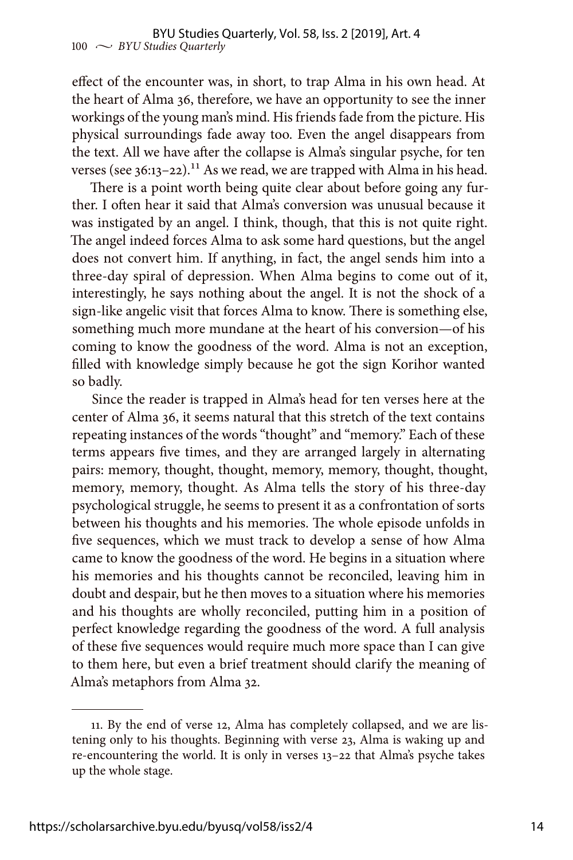effect of the encounter was, in short, to trap Alma in his own head. At the heart of Alma 36, therefore, we have an opportunity to see the inner workings of the young man's mind. His friends fade from the picture. His physical surroundings fade away too. Even the angel disappears from the text. All we have after the collapse is Alma's singular psyche, for ten verses (see  $36:13-22$ ).<sup>11</sup> As we read, we are trapped with Alma in his head.

There is a point worth being quite clear about before going any further. I often hear it said that Alma's conversion was unusual because it was instigated by an angel. I think, though, that this is not quite right. The angel indeed forces Alma to ask some hard questions, but the angel does not convert him. If anything, in fact, the angel sends him into a three-day spiral of depression. When Alma begins to come out of it, interestingly, he says nothing about the angel. It is not the shock of a sign-like angelic visit that forces Alma to know. There is something else, something much more mundane at the heart of his conversion—of his coming to know the goodness of the word. Alma is not an exception, filled with knowledge simply because he got the sign Korihor wanted so badly.

Since the reader is trapped in Alma's head for ten verses here at the center of Alma 36, it seems natural that this stretch of the text contains repeating instances of the words "thought" and "memory." Each of these terms appears five times, and they are arranged largely in alternating pairs: memory, thought, thought, memory, memory, thought, thought, memory, memory, thought. As Alma tells the story of his three-day psychological struggle, he seems to present it as a confrontation of sorts between his thoughts and his memories. The whole episode unfolds in five sequences, which we must track to develop a sense of how Alma came to know the goodness of the word. He begins in a situation where his memories and his thoughts cannot be reconciled, leaving him in doubt and despair, but he then moves to a situation where his memories and his thoughts are wholly reconciled, putting him in a position of perfect knowledge regarding the goodness of the word. A full analysis of these five sequences would require much more space than I can give to them here, but even a brief treatment should clarify the meaning of Alma's metaphors from Alma 32.

<sup>11.</sup> By the end of verse 12, Alma has completely collapsed, and we are listening only to his thoughts. Beginning with verse 23, Alma is waking up and re-encountering the world. It is only in verses 13–22 that Alma's psyche takes up the whole stage.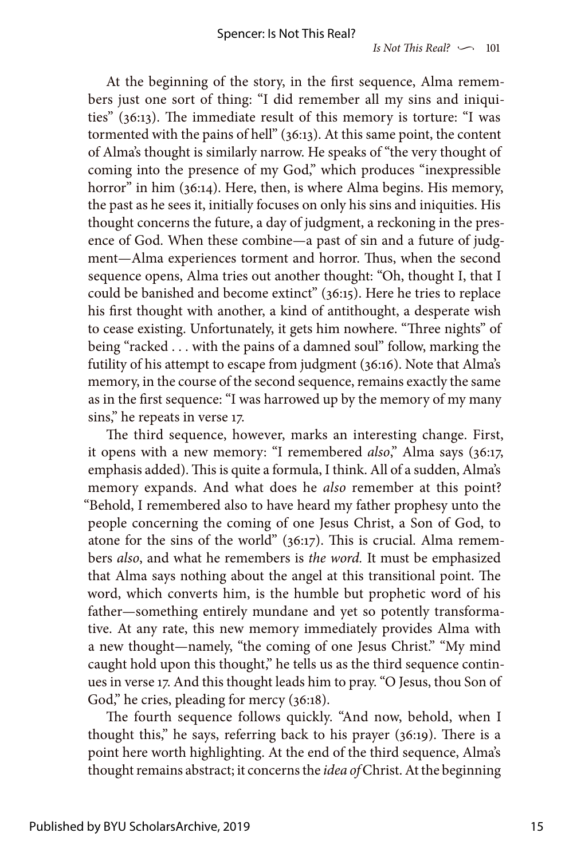At the beginning of the story, in the first sequence, Alma remembers just one sort of thing: "I did remember all my sins and iniquities" (36:13). The immediate result of this memory is torture: "I was tormented with the pains of hell" (36:13). At this same point, the content of Alma's thought is similarly narrow. He speaks of "the very thought of coming into the presence of my God," which produces "inexpressible horror" in him (36:14). Here, then, is where Alma begins. His memory, the past as he sees it, initially focuses on only his sins and iniquities. His thought concerns the future, a day of judgment, a reckoning in the presence of God. When these combine—a past of sin and a future of judgment—Alma experiences torment and horror. Thus, when the second sequence opens, Alma tries out another thought: "Oh, thought I, that I could be banished and become extinct" (36:15). Here he tries to replace his first thought with another, a kind of antithought, a desperate wish to cease existing. Unfortunately, it gets him nowhere. "Three nights" of being "racked . . . with the pains of a damned soul" follow, marking the futility of his attempt to escape from judgment (36:16). Note that Alma's memory, in the course of the second sequence, remains exactly the same as in the first sequence: "I was harrowed up by the memory of my many sins," he repeats in verse 17.

The third sequence, however, marks an interesting change. First, it opens with a new memory: "I remembered also," Alma says (36:17, emphasis added). This is quite a formula, I think. All of a sudden, Alma's memory expands. And what does he *also* remember at this point? "Behold, I remembered also to have heard my father prophesy unto the people concerning the coming of one Jesus Christ, a Son of God, to atone for the sins of the world" (36:17). This is crucial. Alma remembers *also*, and what he remembers is *the word.* It must be emphasized that Alma says nothing about the angel at this transitional point. The word, which converts him, is the humble but prophetic word of his father—something entirely mundane and yet so potently transformative. At any rate, this new memory immediately provides Alma with a new thought—namely, "the coming of one Jesus Christ." "My mind caught hold upon this thought," he tells us as the third sequence continues in verse 17. And this thought leads him to pray. "O Jesus, thou Son of God," he cries, pleading for mercy (36:18).

The fourth sequence follows quickly. "And now, behold, when I thought this," he says, referring back to his prayer (36:19). There is a point here worth highlighting. At the end of the third sequence, Alma's thought remains abstract; it concerns the *idea of* Christ. At the beginning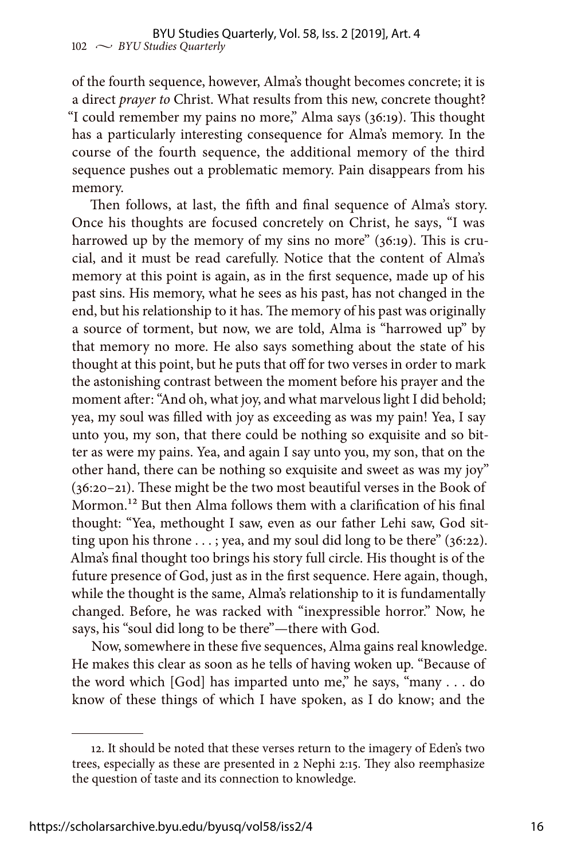of the fourth sequence, however, Alma's thought becomes concrete; it is a direct *prayer to* Christ. What results from this new, concrete thought? "I could remember my pains no more," Alma says (36:19). This thought has a particularly interesting consequence for Alma's memory. In the course of the fourth sequence, the additional memory of the third sequence pushes out a problematic memory. Pain disappears from his memory.

Then follows, at last, the fifth and final sequence of Alma's story. Once his thoughts are focused concretely on Christ, he says, "I was harrowed up by the memory of my sins no more" (36:19). This is crucial, and it must be read carefully. Notice that the content of Alma's memory at this point is again, as in the first sequence, made up of his past sins. His memory, what he sees as his past, has not changed in the end, but his relationship to it has. The memory of his past was originally a source of torment, but now, we are told, Alma is "harrowed up" by that memory no more. He also says something about the state of his thought at this point, but he puts that off for two verses in order to mark the astonishing contrast between the moment before his prayer and the moment after: "And oh, what joy, and what marvelous light I did behold; yea, my soul was filled with joy as exceeding as was my pain! Yea, I say unto you, my son, that there could be nothing so exquisite and so bitter as were my pains. Yea, and again I say unto you, my son, that on the other hand, there can be nothing so exquisite and sweet as was my joy" (36:20–21). These might be the two most beautiful verses in the Book of Mormon.12 But then Alma follows them with a clarification of his final thought: "Yea, methought I saw, even as our father Lehi saw, God sitting upon his throne  $\dots$ ; yea, and my soul did long to be there" (36:22). Alma's final thought too brings his story full circle. His thought is of the future presence of God, just as in the first sequence. Here again, though, while the thought is the same, Alma's relationship to it is fundamentally changed. Before, he was racked with "inexpressible horror." Now, he says, his "soul did long to be there"—there with God.

Now, somewhere in these five sequences, Alma gains real knowledge. He makes this clear as soon as he tells of having woken up. "Because of the word which  $[God]$  has imparted unto me," he says, "many . . . do know of these things of which I have spoken, as I do know; and the

<sup>12.</sup> It should be noted that these verses return to the imagery of Eden's two trees, especially as these are presented in 2 Nephi 2:15. They also reemphasize the question of taste and its connection to knowledge.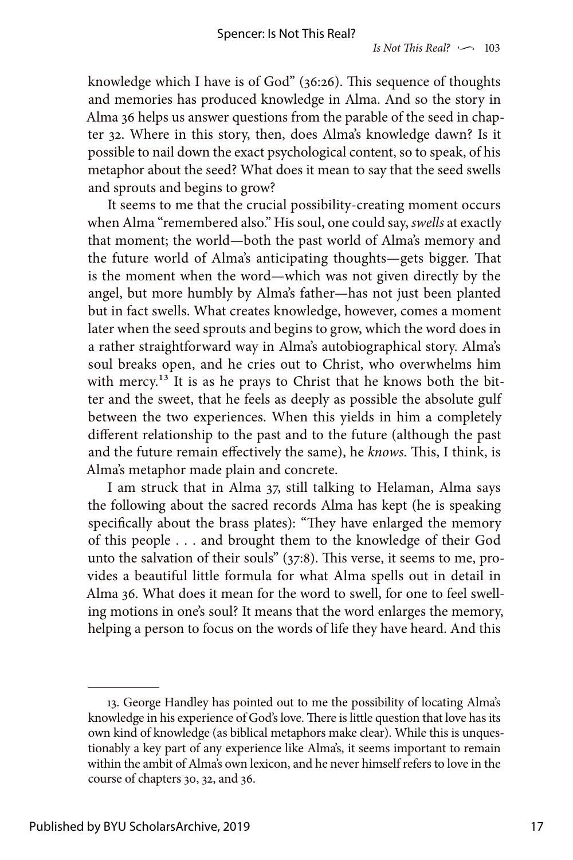knowledge which I have is of God" (36:26). This sequence of thoughts and memories has produced knowledge in Alma. And so the story in Alma 36 helps us answer questions from the parable of the seed in chapter 32. Where in this story, then, does Alma's knowledge dawn? Is it possible to nail down the exact psychological content, so to speak, of his metaphor about the seed? What does it mean to say that the seed swells and sprouts and begins to grow?

It seems to me that the crucial possibility-creating moment occurs when Alma "remembered also." His soul, one could say, *swells* at exactly that moment; the world—both the past world of Alma's memory and the future world of Alma's anticipating thoughts—gets bigger. That is the moment when the word—which was not given directly by the angel, but more humbly by Alma's father—has not just been planted but in fact swells. What creates knowledge, however, comes a moment later when the seed sprouts and begins to grow, which the word does in a rather straightforward way in Alma's autobiographical story. Alma's soul breaks open, and he cries out to Christ, who overwhelms him with mercy.<sup>13</sup> It is as he prays to Christ that he knows both the bitter and the sweet, that he feels as deeply as possible the absolute gulf between the two experiences. When this yields in him a completely different relationship to the past and to the future (although the past and the future remain effectively the same), he *knows.* This, I think, is Alma's metaphor made plain and concrete.

I am struck that in Alma 37, still talking to Helaman, Alma says the following about the sacred records Alma has kept (he is speaking specifically about the brass plates): "They have enlarged the memory of this people . . . and brought them to the knowledge of their God unto the salvation of their souls" (37:8). This verse, it seems to me, provides a beautiful little formula for what Alma spells out in detail in Alma 36. What does it mean for the word to swell, for one to feel swelling motions in one's soul? It means that the word enlarges the memory, helping a person to focus on the words of life they have heard. And this

<sup>13.</sup> George Handley has pointed out to me the possibility of locating Alma's knowledge in his experience of God's love. There is little question that love has its own kind of knowledge (as biblical metaphors make clear). While this is unquestionably a key part of any experience like Alma's, it seems important to remain within the ambit of Alma's own lexicon, and he never himself refers to love in the course of chapters 30, 32, and 36.